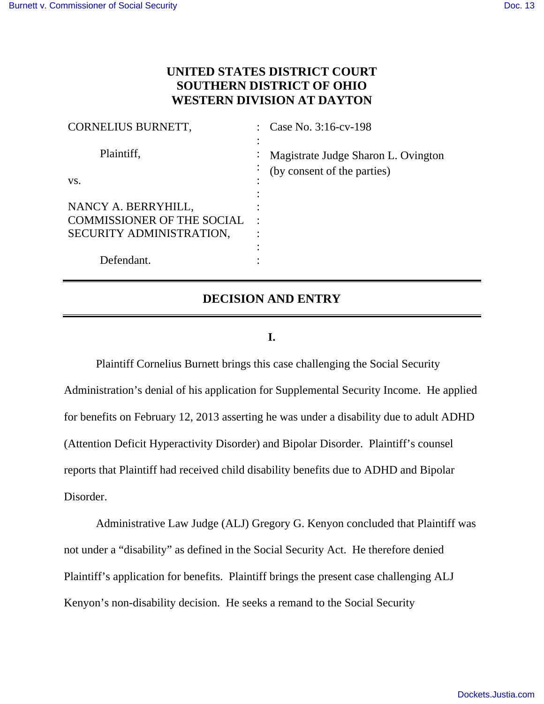# **UNITED STATES DISTRICT COURT SOUTHERN DISTRICT OF OHIO WESTERN DIVISION AT DAYTON**

| CORNELIUS BURNETT,                                            | Case No. 3:16-cv-198                             |
|---------------------------------------------------------------|--------------------------------------------------|
| Plaintiff,                                                    | Magistrate Judge Sharon L. Ovington<br>$\bullet$ |
| VS.                                                           | (by consent of the parties)<br>$\bullet$         |
| NANCY A. BERRYHILL,                                           |                                                  |
| <b>COMMISSIONER OF THE SOCIAL</b><br>SECURITY ADMINISTRATION, |                                                  |
| Defendant.                                                    |                                                  |

## **DECISION AND ENTRY**

### **I.**

Plaintiff Cornelius Burnett brings this case challenging the Social Security Administration's denial of his application for Supplemental Security Income. He applied for benefits on February 12, 2013 asserting he was under a disability due to adult ADHD (Attention Deficit Hyperactivity Disorder) and Bipolar Disorder. Plaintiff's counsel reports that Plaintiff had received child disability benefits due to ADHD and Bipolar Disorder.

Administrative Law Judge (ALJ) Gregory G. Kenyon concluded that Plaintiff was not under a "disability" as defined in the Social Security Act. He therefore denied Plaintiff's application for benefits. Plaintiff brings the present case challenging ALJ Kenyon's non-disability decision. He seeks a remand to the Social Security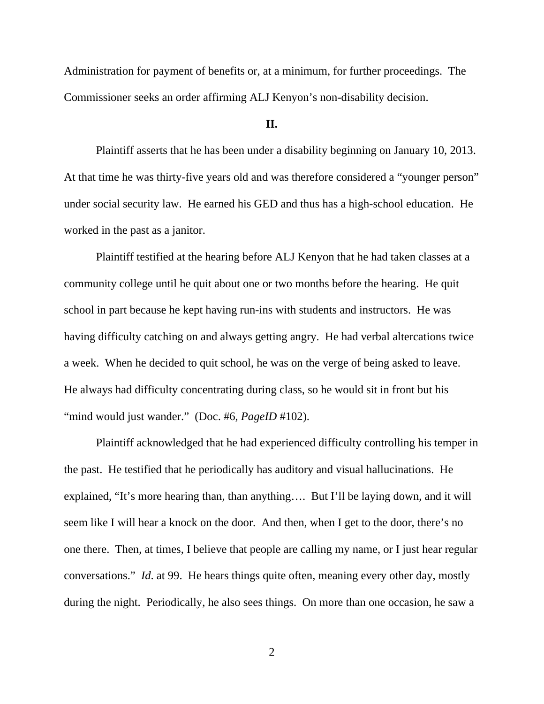Administration for payment of benefits or, at a minimum, for further proceedings. The Commissioner seeks an order affirming ALJ Kenyon's non-disability decision.

#### **II.**

 Plaintiff asserts that he has been under a disability beginning on January 10, 2013. At that time he was thirty-five years old and was therefore considered a "younger person" under social security law. He earned his GED and thus has a high-school education. He worked in the past as a janitor.

 Plaintiff testified at the hearing before ALJ Kenyon that he had taken classes at a community college until he quit about one or two months before the hearing. He quit school in part because he kept having run-ins with students and instructors. He was having difficulty catching on and always getting angry. He had verbal altercations twice a week. When he decided to quit school, he was on the verge of being asked to leave. He always had difficulty concentrating during class, so he would sit in front but his "mind would just wander." (Doc. #6, *PageID* #102).

 Plaintiff acknowledged that he had experienced difficulty controlling his temper in the past. He testified that he periodically has auditory and visual hallucinations. He explained, "It's more hearing than, than anything…. But I'll be laying down, and it will seem like I will hear a knock on the door. And then, when I get to the door, there's no one there. Then, at times, I believe that people are calling my name, or I just hear regular conversations." *Id*. at 99. He hears things quite often, meaning every other day, mostly during the night. Periodically, he also sees things. On more than one occasion, he saw a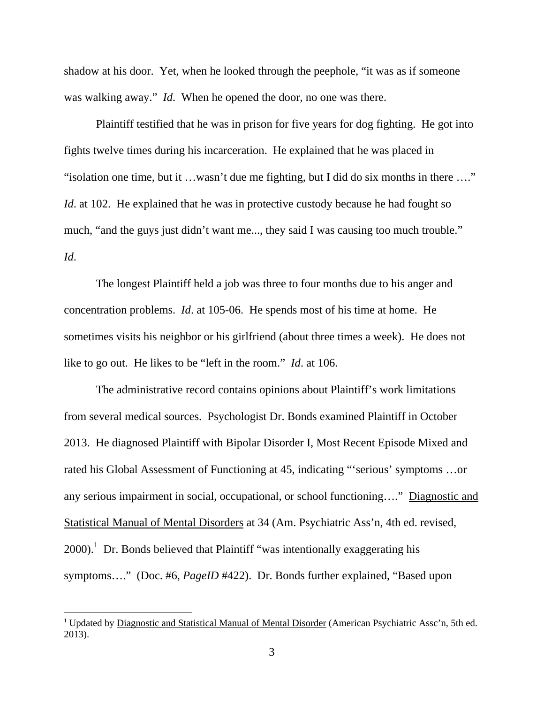shadow at his door. Yet, when he looked through the peephole, "it was as if someone was walking away." *Id*. When he opened the door, no one was there.

 Plaintiff testified that he was in prison for five years for dog fighting. He got into fights twelve times during his incarceration. He explained that he was placed in "isolation one time, but it …wasn't due me fighting, but I did do six months in there …." *Id.* at 102. He explained that he was in protective custody because he had fought so much, "and the guys just didn't want me..., they said I was causing too much trouble." *Id*.

 The longest Plaintiff held a job was three to four months due to his anger and concentration problems. *Id*. at 105-06. He spends most of his time at home. He sometimes visits his neighbor or his girlfriend (about three times a week). He does not like to go out. He likes to be "left in the room." *Id*. at 106.

 The administrative record contains opinions about Plaintiff's work limitations from several medical sources. Psychologist Dr. Bonds examined Plaintiff in October 2013. He diagnosed Plaintiff with Bipolar Disorder I, Most Recent Episode Mixed and rated his Global Assessment of Functioning at 45, indicating "'serious' symptoms …or any serious impairment in social, occupational, or school functioning…." Diagnostic and Statistical Manual of Mental Disorders at 34 (Am. Psychiatric Ass'n, 4th ed. revised,  $2000$ .<sup>1</sup> Dr. Bonds believed that Plaintiff "was intentionally exaggerating his symptoms…." (Doc. #6, *PageID* #422). Dr. Bonds further explained, "Based upon

<sup>&</sup>lt;sup>1</sup> Updated by Diagnostic and Statistical Manual of Mental Disorder (American Psychiatric Assc'n, 5th ed. 2013).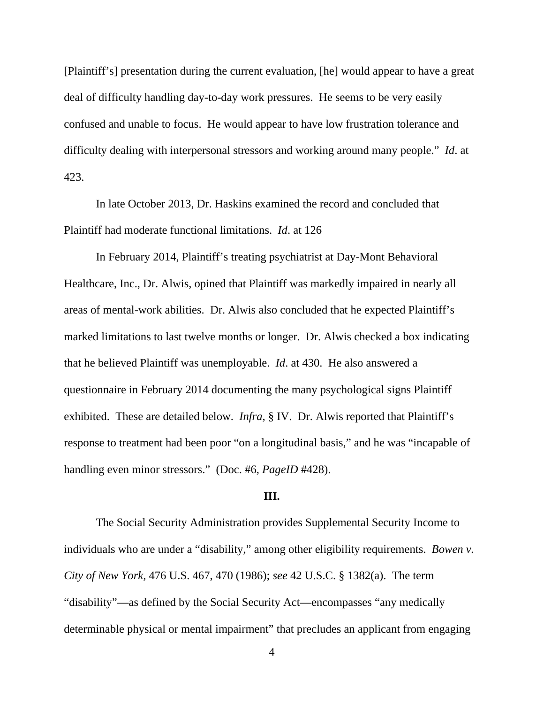[Plaintiff's] presentation during the current evaluation, [he] would appear to have a great deal of difficulty handling day-to-day work pressures. He seems to be very easily confused and unable to focus. He would appear to have low frustration tolerance and difficulty dealing with interpersonal stressors and working around many people." *Id*. at 423.

 In late October 2013, Dr. Haskins examined the record and concluded that Plaintiff had moderate functional limitations. *Id*. at 126

 In February 2014, Plaintiff's treating psychiatrist at Day-Mont Behavioral Healthcare, Inc., Dr. Alwis, opined that Plaintiff was markedly impaired in nearly all areas of mental-work abilities. Dr. Alwis also concluded that he expected Plaintiff's marked limitations to last twelve months or longer. Dr. Alwis checked a box indicating that he believed Plaintiff was unemployable. *Id*. at 430. He also answered a questionnaire in February 2014 documenting the many psychological signs Plaintiff exhibited. These are detailed below. *Infra*, § IV. Dr. Alwis reported that Plaintiff's response to treatment had been poor "on a longitudinal basis," and he was "incapable of handling even minor stressors." (Doc. #6, *PageID* #428).

#### **III.**

 The Social Security Administration provides Supplemental Security Income to individuals who are under a "disability," among other eligibility requirements. *Bowen v. City of New York,* 476 U.S. 467, 470 (1986); *see* 42 U.S.C. § 1382(a). The term "disability"—as defined by the Social Security Act—encompasses "any medically determinable physical or mental impairment" that precludes an applicant from engaging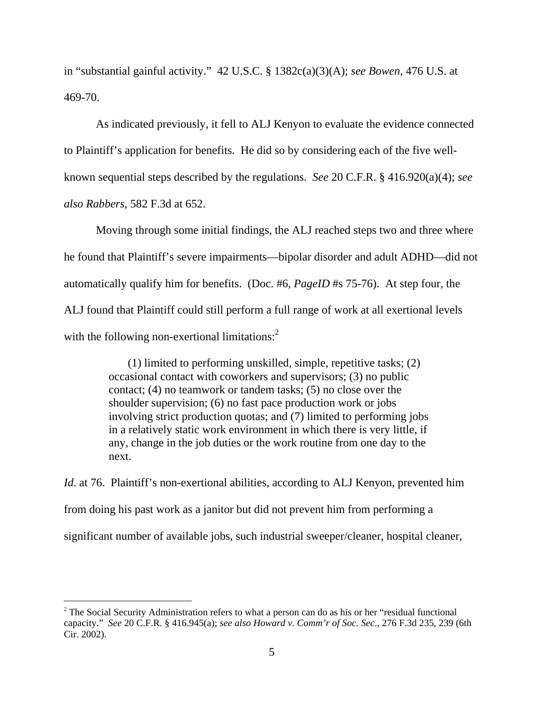in "substantial gainful activity." 42 U.S.C. § 1382c(a)(3)(A); *see Bowen,* 476 U.S. at 469-70.

 As indicated previously, it fell to ALJ Kenyon to evaluate the evidence connected to Plaintiff's application for benefits. He did so by considering each of the five wellknown sequential steps described by the regulations. *See* 20 C.F.R. § 416.920(a)(4); *see also Rabbers*, 582 F.3d at 652.

 Moving through some initial findings, the ALJ reached steps two and three where he found that Plaintiff's severe impairments—bipolar disorder and adult ADHD—did not automatically qualify him for benefits. (Doc. #6, *PageID* #s 75-76). At step four, the ALJ found that Plaintiff could still perform a full range of work at all exertional levels with the following non-exertional limitations:<sup>2</sup>

> (1) limited to performing unskilled, simple, repetitive tasks; (2) occasional contact with coworkers and supervisors; (3) no public contact; (4) no teamwork or tandem tasks; (5) no close over the shoulder supervision; (6) no fast pace production work or jobs involving strict production quotas; and (7) limited to performing jobs in a relatively static work environment in which there is very little, if any, change in the job duties or the work routine from one day to the next.

*Id.* at 76. Plaintiff's non-exertional abilities, according to ALJ Kenyon, prevented him from doing his past work as a janitor but did not prevent him from performing a significant number of available jobs, such industrial sweeper/cleaner, hospital cleaner,

 $\overline{a}$ 

<sup>&</sup>lt;sup>2</sup> The Social Security Administration refers to what a person can do as his or her "residual functional" capacity." *See* 20 C.F.R. § 416.945(a); *see also Howard v. Comm'r of Soc. Sec*., 276 F.3d 235, 239 (6th Cir. 2002).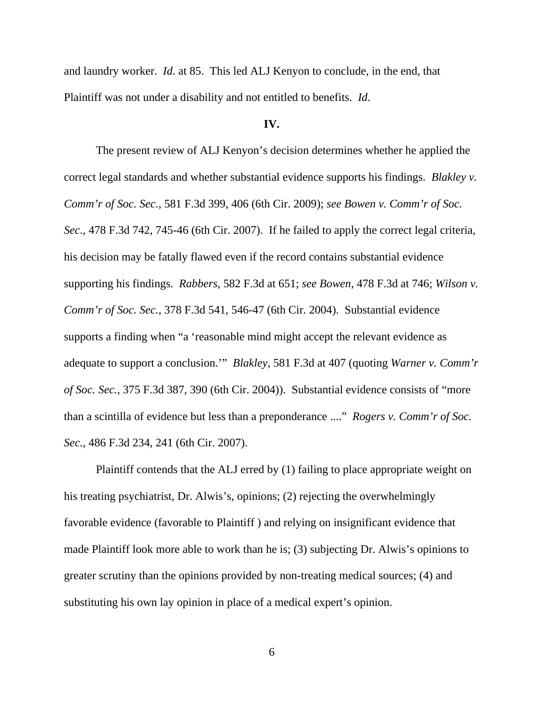and laundry worker. *Id*. at 85. This led ALJ Kenyon to conclude, in the end, that Plaintiff was not under a disability and not entitled to benefits. *Id*.

#### **IV.**

 The present review of ALJ Kenyon's decision determines whether he applied the correct legal standards and whether substantial evidence supports his findings. *Blakley v. Comm'r of Soc. Sec.*, 581 F.3d 399, 406 (6th Cir. 2009); *see Bowen v. Comm'r of Soc. Sec*., 478 F.3d 742, 745-46 (6th Cir. 2007). If he failed to apply the correct legal criteria, his decision may be fatally flawed even if the record contains substantial evidence supporting his findings. *Rabbers*, 582 F.3d at 651; *see Bowen*, 478 F.3d at 746; *Wilson v. Comm'r of Soc. Sec.*, 378 F.3d 541, 546-47 (6th Cir. 2004). Substantial evidence supports a finding when "a 'reasonable mind might accept the relevant evidence as adequate to support a conclusion.'" *Blakley*, 581 F.3d at 407 (quoting *Warner v. Comm'r of Soc. Sec.*, 375 F.3d 387, 390 (6th Cir. 2004)). Substantial evidence consists of "more than a scintilla of evidence but less than a preponderance ...." *Rogers v. Comm'r of Soc. Sec.*, 486 F.3d 234, 241 (6th Cir. 2007).

 Plaintiff contends that the ALJ erred by (1) failing to place appropriate weight on his treating psychiatrist, Dr. Alwis's, opinions; (2) rejecting the overwhelmingly favorable evidence (favorable to Plaintiff ) and relying on insignificant evidence that made Plaintiff look more able to work than he is; (3) subjecting Dr. Alwis's opinions to greater scrutiny than the opinions provided by non-treating medical sources; (4) and substituting his own lay opinion in place of a medical expert's opinion.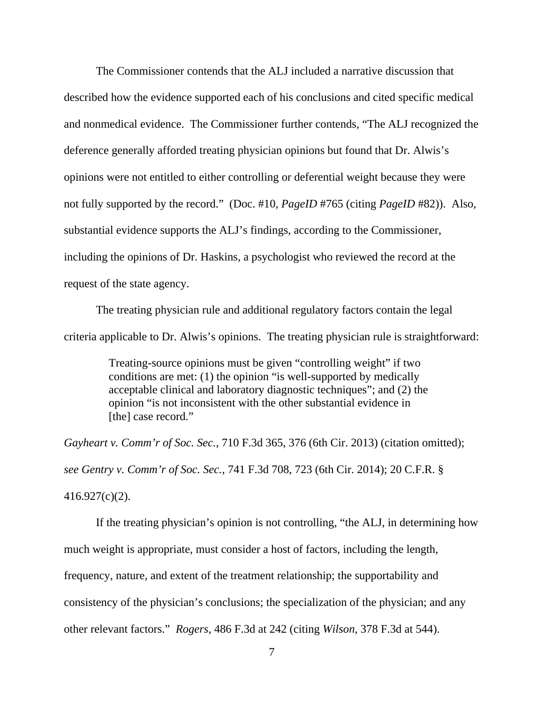The Commissioner contends that the ALJ included a narrative discussion that described how the evidence supported each of his conclusions and cited specific medical and nonmedical evidence. The Commissioner further contends, "The ALJ recognized the deference generally afforded treating physician opinions but found that Dr. Alwis's opinions were not entitled to either controlling or deferential weight because they were not fully supported by the record." (Doc. #10, *PageID* #765 (citing *PageID* #82)). Also, substantial evidence supports the ALJ's findings, according to the Commissioner, including the opinions of Dr. Haskins, a psychologist who reviewed the record at the request of the state agency.

 The treating physician rule and additional regulatory factors contain the legal criteria applicable to Dr. Alwis's opinions. The treating physician rule is straightforward:

> Treating-source opinions must be given "controlling weight" if two conditions are met: (1) the opinion "is well-supported by medically acceptable clinical and laboratory diagnostic techniques"; and (2) the opinion "is not inconsistent with the other substantial evidence in [the] case record."

*Gayheart v. Comm'r of Soc. Sec.*, 710 F.3d 365, 376 (6th Cir. 2013) (citation omitted); *see Gentry v. Comm'r of Soc. Sec.*, 741 F.3d 708, 723 (6th Cir. 2014); 20 C.F.R. § 416.927(c)(2).

 If the treating physician's opinion is not controlling, "the ALJ, in determining how much weight is appropriate, must consider a host of factors, including the length, frequency, nature, and extent of the treatment relationship; the supportability and consistency of the physician's conclusions; the specialization of the physician; and any other relevant factors." *Rogers*, 486 F.3d at 242 (citing *Wilson*, 378 F.3d at 544).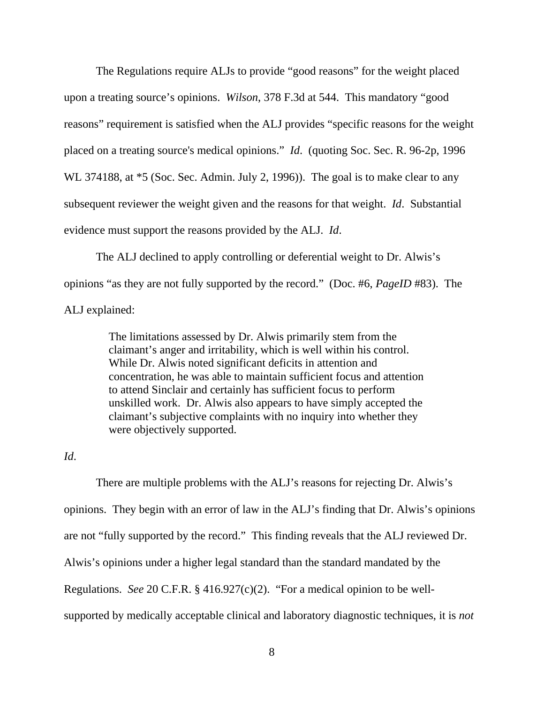The Regulations require ALJs to provide "good reasons" for the weight placed upon a treating source's opinions. *Wilson*, 378 F.3d at 544. This mandatory "good reasons" requirement is satisfied when the ALJ provides "specific reasons for the weight placed on a treating source's medical opinions." *Id*. (quoting Soc. Sec. R. 96-2p, 1996 WL 374188, at  $*5$  (Soc. Sec. Admin. July 2, 1996)). The goal is to make clear to any subsequent reviewer the weight given and the reasons for that weight. *Id*. Substantial evidence must support the reasons provided by the ALJ. *Id*.

 The ALJ declined to apply controlling or deferential weight to Dr. Alwis's opinions "as they are not fully supported by the record." (Doc. #6, *PageID* #83). The ALJ explained:

> The limitations assessed by Dr. Alwis primarily stem from the claimant's anger and irritability, which is well within his control. While Dr. Alwis noted significant deficits in attention and concentration, he was able to maintain sufficient focus and attention to attend Sinclair and certainly has sufficient focus to perform unskilled work. Dr. Alwis also appears to have simply accepted the claimant's subjective complaints with no inquiry into whether they were objectively supported.

### *Id*.

 There are multiple problems with the ALJ's reasons for rejecting Dr. Alwis's opinions. They begin with an error of law in the ALJ's finding that Dr. Alwis's opinions are not "fully supported by the record." This finding reveals that the ALJ reviewed Dr. Alwis's opinions under a higher legal standard than the standard mandated by the Regulations. *See* 20 C.F.R. § 416.927(c)(2). "For a medical opinion to be wellsupported by medically acceptable clinical and laboratory diagnostic techniques, it is *not*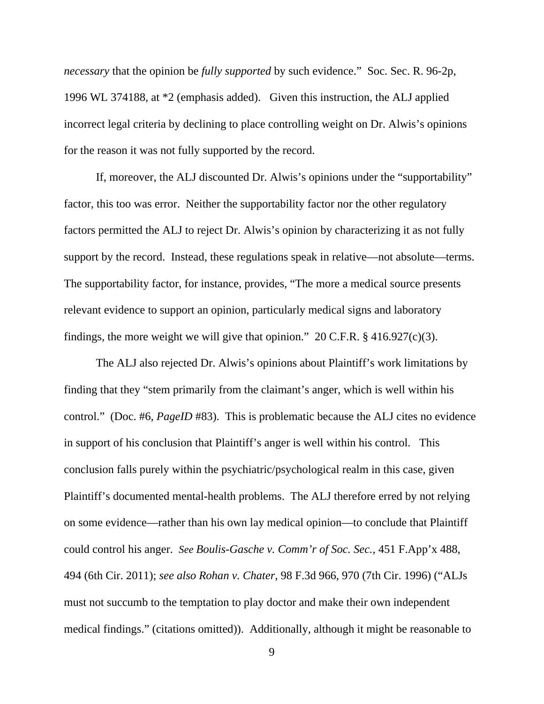*necessary* that the opinion be *fully supported* by such evidence." Soc. Sec. R. 96-2p, 1996 WL 374188, at \*2 (emphasis added). Given this instruction, the ALJ applied incorrect legal criteria by declining to place controlling weight on Dr. Alwis's opinions for the reason it was not fully supported by the record.

 If, moreover, the ALJ discounted Dr. Alwis's opinions under the "supportability" factor, this too was error. Neither the supportability factor nor the other regulatory factors permitted the ALJ to reject Dr. Alwis's opinion by characterizing it as not fully support by the record. Instead, these regulations speak in relative—not absolute—terms. The supportability factor, for instance, provides, "The more a medical source presents relevant evidence to support an opinion, particularly medical signs and laboratory findings, the more weight we will give that opinion." 20 C.F.R.  $\S$  416.927(c)(3).

 The ALJ also rejected Dr. Alwis's opinions about Plaintiff's work limitations by finding that they "stem primarily from the claimant's anger, which is well within his control." (Doc. #6, *PageID* #83). This is problematic because the ALJ cites no evidence in support of his conclusion that Plaintiff's anger is well within his control. This conclusion falls purely within the psychiatric/psychological realm in this case, given Plaintiff's documented mental-health problems. The ALJ therefore erred by not relying on some evidence—rather than his own lay medical opinion—to conclude that Plaintiff could control his anger. *See Boulis-Gasche v. Comm'r of Soc. Sec.*, 451 F.App'x 488, 494 (6th Cir. 2011); *see also Rohan v. Chater*, 98 F.3d 966, 970 (7th Cir. 1996) ("ALJs must not succumb to the temptation to play doctor and make their own independent medical findings." (citations omitted)). Additionally, although it might be reasonable to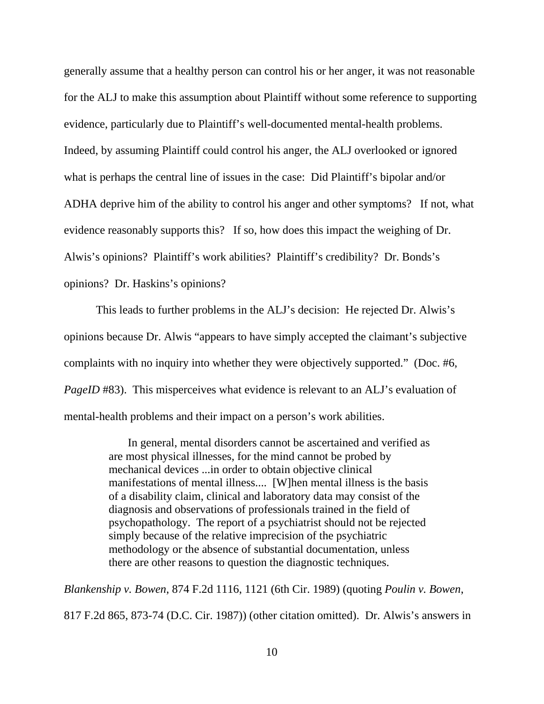generally assume that a healthy person can control his or her anger, it was not reasonable for the ALJ to make this assumption about Plaintiff without some reference to supporting evidence, particularly due to Plaintiff's well-documented mental-health problems. Indeed, by assuming Plaintiff could control his anger, the ALJ overlooked or ignored what is perhaps the central line of issues in the case: Did Plaintiff's bipolar and/or ADHA deprive him of the ability to control his anger and other symptoms? If not, what evidence reasonably supports this? If so, how does this impact the weighing of Dr. Alwis's opinions? Plaintiff's work abilities? Plaintiff's credibility? Dr. Bonds's opinions? Dr. Haskins's opinions?

 This leads to further problems in the ALJ's decision: He rejected Dr. Alwis's opinions because Dr. Alwis "appears to have simply accepted the claimant's subjective complaints with no inquiry into whether they were objectively supported." (Doc. #6, *PageID* #83). This misperceives what evidence is relevant to an ALJ's evaluation of mental-health problems and their impact on a person's work abilities.

> In general, mental disorders cannot be ascertained and verified as are most physical illnesses, for the mind cannot be probed by mechanical devices ...in order to obtain objective clinical manifestations of mental illness.... [W]hen mental illness is the basis of a disability claim, clinical and laboratory data may consist of the diagnosis and observations of professionals trained in the field of psychopathology. The report of a psychiatrist should not be rejected simply because of the relative imprecision of the psychiatric methodology or the absence of substantial documentation, unless there are other reasons to question the diagnostic techniques.

*Blankenship v. Bowen*, 874 F.2d 1116, 1121 (6th Cir. 1989) (quoting *Poulin v. Bowen*, 817 F.2d 865, 873-74 (D.C. Cir. 1987)) (other citation omitted). Dr. Alwis's answers in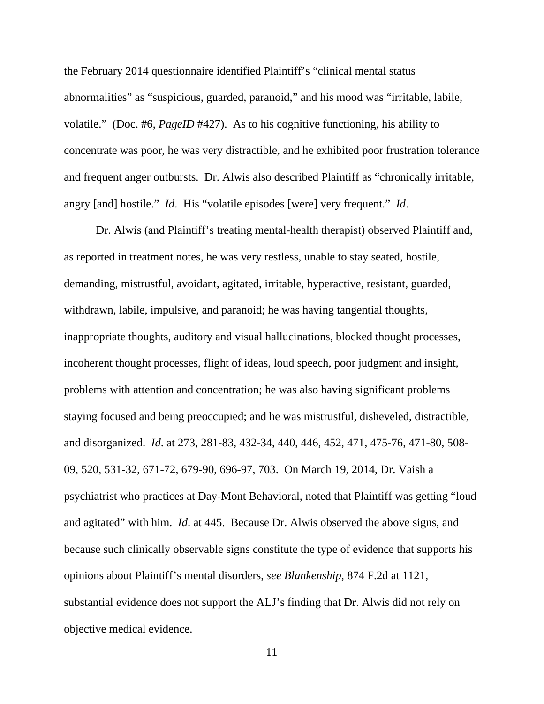the February 2014 questionnaire identified Plaintiff's "clinical mental status abnormalities" as "suspicious, guarded, paranoid," and his mood was "irritable, labile, volatile." (Doc. #6, *PageID* #427). As to his cognitive functioning, his ability to concentrate was poor, he was very distractible, and he exhibited poor frustration tolerance and frequent anger outbursts. Dr. Alwis also described Plaintiff as "chronically irritable, angry [and] hostile." *Id*. His "volatile episodes [were] very frequent." *Id*.

 Dr. Alwis (and Plaintiff's treating mental-health therapist) observed Plaintiff and, as reported in treatment notes, he was very restless, unable to stay seated, hostile, demanding, mistrustful, avoidant, agitated, irritable, hyperactive, resistant, guarded, withdrawn, labile, impulsive, and paranoid; he was having tangential thoughts, inappropriate thoughts, auditory and visual hallucinations, blocked thought processes, incoherent thought processes, flight of ideas, loud speech, poor judgment and insight, problems with attention and concentration; he was also having significant problems staying focused and being preoccupied; and he was mistrustful, disheveled, distractible, and disorganized. *Id*. at 273, 281-83, 432-34, 440, 446, 452, 471, 475-76, 471-80, 508- 09, 520, 531-32, 671-72, 679-90, 696-97, 703. On March 19, 2014, Dr. Vaish a psychiatrist who practices at Day-Mont Behavioral, noted that Plaintiff was getting "loud and agitated" with him. *Id*. at 445. Because Dr. Alwis observed the above signs, and because such clinically observable signs constitute the type of evidence that supports his opinions about Plaintiff's mental disorders, *see Blankenship*, 874 F.2d at 1121, substantial evidence does not support the ALJ's finding that Dr. Alwis did not rely on objective medical evidence.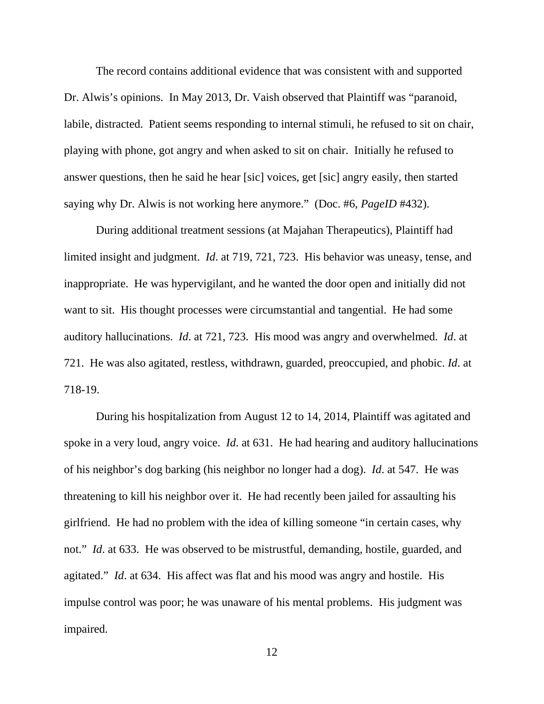The record contains additional evidence that was consistent with and supported Dr. Alwis's opinions. In May 2013, Dr. Vaish observed that Plaintiff was "paranoid, labile, distracted. Patient seems responding to internal stimuli, he refused to sit on chair, playing with phone, got angry and when asked to sit on chair. Initially he refused to answer questions, then he said he hear [sic] voices, get [sic] angry easily, then started saying why Dr. Alwis is not working here anymore." (Doc. #6, *PageID* #432).

 During additional treatment sessions (at Majahan Therapeutics), Plaintiff had limited insight and judgment. *Id*. at 719, 721, 723. His behavior was uneasy, tense, and inappropriate. He was hypervigilant, and he wanted the door open and initially did not want to sit. His thought processes were circumstantial and tangential. He had some auditory hallucinations. *Id*. at 721, 723. His mood was angry and overwhelmed. *Id*. at 721. He was also agitated, restless, withdrawn, guarded, preoccupied, and phobic. *Id*. at 718-19.

 During his hospitalization from August 12 to 14, 2014, Plaintiff was agitated and spoke in a very loud, angry voice. *Id*. at 631. He had hearing and auditory hallucinations of his neighbor's dog barking (his neighbor no longer had a dog). *Id*. at 547. He was threatening to kill his neighbor over it. He had recently been jailed for assaulting his girlfriend. He had no problem with the idea of killing someone "in certain cases, why not." *Id.* at 633. He was observed to be mistrustful, demanding, hostile, guarded, and agitated." *Id*. at 634. His affect was flat and his mood was angry and hostile. His impulse control was poor; he was unaware of his mental problems. His judgment was impaired.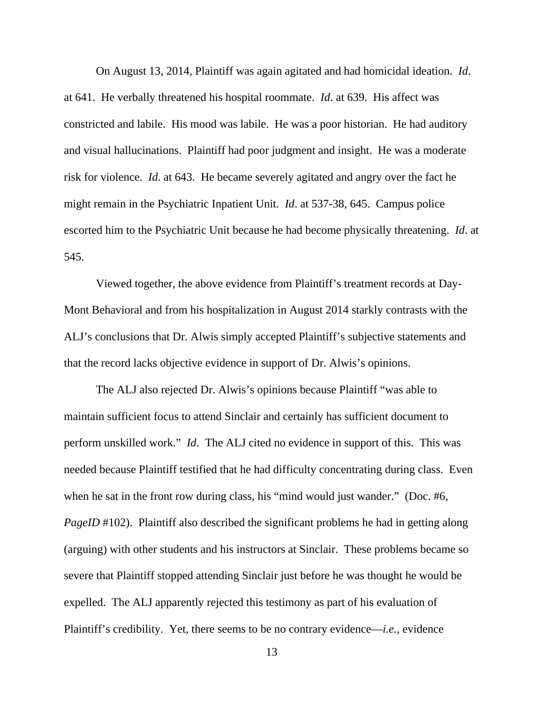On August 13, 2014, Plaintiff was again agitated and had homicidal ideation. *Id*. at 641. He verbally threatened his hospital roommate. *Id*. at 639. His affect was constricted and labile. His mood was labile. He was a poor historian. He had auditory and visual hallucinations. Plaintiff had poor judgment and insight. He was a moderate risk for violence. *Id*. at 643. He became severely agitated and angry over the fact he might remain in the Psychiatric Inpatient Unit. *Id*. at 537-38, 645. Campus police escorted him to the Psychiatric Unit because he had become physically threatening. *Id*. at 545.

 Viewed together, the above evidence from Plaintiff's treatment records at Day-Mont Behavioral and from his hospitalization in August 2014 starkly contrasts with the ALJ's conclusions that Dr. Alwis simply accepted Plaintiff's subjective statements and that the record lacks objective evidence in support of Dr. Alwis's opinions.

 The ALJ also rejected Dr. Alwis's opinions because Plaintiff "was able to maintain sufficient focus to attend Sinclair and certainly has sufficient document to perform unskilled work." *Id*. The ALJ cited no evidence in support of this. This was needed because Plaintiff testified that he had difficulty concentrating during class. Even when he sat in the front row during class, his "mind would just wander." (Doc. #6, *PageID* #102). Plaintiff also described the significant problems he had in getting along (arguing) with other students and his instructors at Sinclair. These problems became so severe that Plaintiff stopped attending Sinclair just before he was thought he would be expelled. The ALJ apparently rejected this testimony as part of his evaluation of Plaintiff's credibility. Yet, there seems to be no contrary evidence—*i.e.*, evidence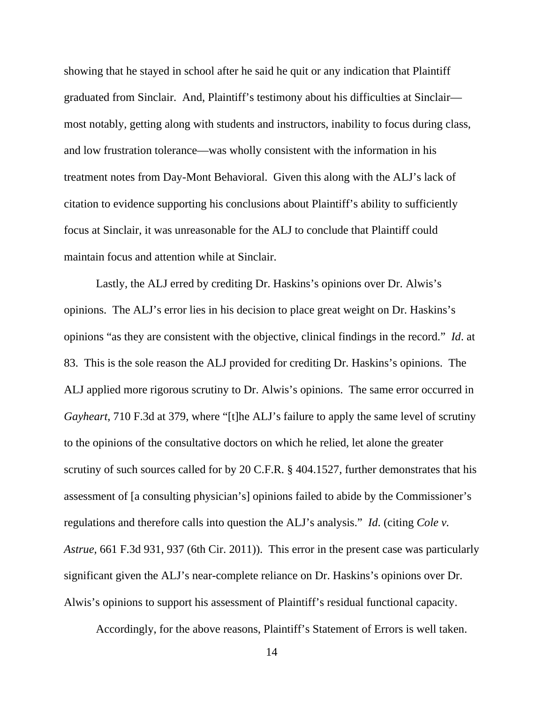showing that he stayed in school after he said he quit or any indication that Plaintiff graduated from Sinclair. And, Plaintiff's testimony about his difficulties at Sinclair most notably, getting along with students and instructors, inability to focus during class, and low frustration tolerance—was wholly consistent with the information in his treatment notes from Day-Mont Behavioral. Given this along with the ALJ's lack of citation to evidence supporting his conclusions about Plaintiff's ability to sufficiently focus at Sinclair, it was unreasonable for the ALJ to conclude that Plaintiff could maintain focus and attention while at Sinclair.

 Lastly, the ALJ erred by crediting Dr. Haskins's opinions over Dr. Alwis's opinions. The ALJ's error lies in his decision to place great weight on Dr. Haskins's opinions "as they are consistent with the objective, clinical findings in the record." *Id*. at 83. This is the sole reason the ALJ provided for crediting Dr. Haskins's opinions. The ALJ applied more rigorous scrutiny to Dr. Alwis's opinions. The same error occurred in *Gayheart*, 710 F.3d at 379, where "[t]he ALJ's failure to apply the same level of scrutiny to the opinions of the consultative doctors on which he relied, let alone the greater scrutiny of such sources called for by 20 C.F.R. § 404.1527, further demonstrates that his assessment of [a consulting physician's] opinions failed to abide by the Commissioner's regulations and therefore calls into question the ALJ's analysis." *Id*. (citing *Cole v. Astrue,* 661 F.3d 931, 937 (6th Cir. 2011)). This error in the present case was particularly significant given the ALJ's near-complete reliance on Dr. Haskins's opinions over Dr. Alwis's opinions to support his assessment of Plaintiff's residual functional capacity.

Accordingly, for the above reasons, Plaintiff's Statement of Errors is well taken.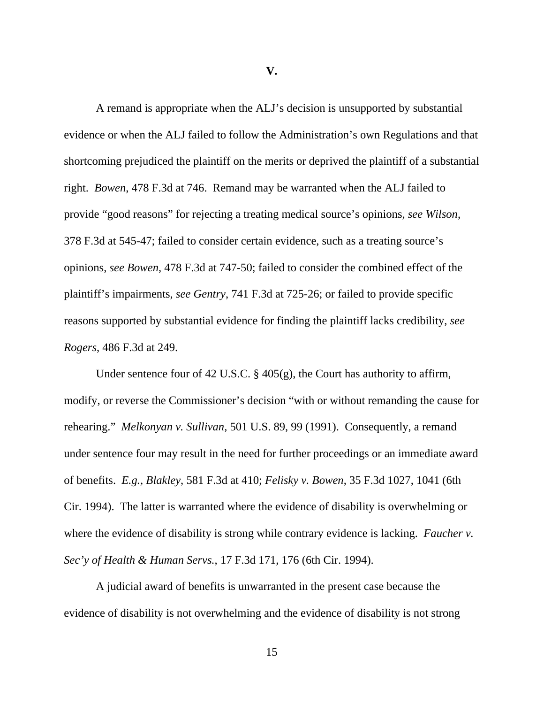**V.**

 A remand is appropriate when the ALJ's decision is unsupported by substantial evidence or when the ALJ failed to follow the Administration's own Regulations and that shortcoming prejudiced the plaintiff on the merits or deprived the plaintiff of a substantial right. *Bowen*, 478 F.3d at 746. Remand may be warranted when the ALJ failed to provide "good reasons" for rejecting a treating medical source's opinions, *see Wilson*, 378 F.3d at 545-47; failed to consider certain evidence, such as a treating source's opinions, *see Bowen*, 478 F.3d at 747-50; failed to consider the combined effect of the plaintiff's impairments, *see Gentry*, 741 F.3d at 725-26; or failed to provide specific reasons supported by substantial evidence for finding the plaintiff lacks credibility, *see Rogers*, 486 F.3d at 249.

 Under sentence four of 42 U.S.C. § 405(g), the Court has authority to affirm, modify, or reverse the Commissioner's decision "with or without remanding the cause for rehearing." *Melkonyan v. Sullivan*, 501 U.S. 89, 99 (1991). Consequently, a remand under sentence four may result in the need for further proceedings or an immediate award of benefits. *E.g., Blakley*, 581 F.3d at 410; *Felisky v. Bowen*, 35 F.3d 1027, 1041 (6th Cir. 1994). The latter is warranted where the evidence of disability is overwhelming or where the evidence of disability is strong while contrary evidence is lacking. *Faucher v. Sec'y of Health & Human Servs.*, 17 F.3d 171, 176 (6th Cir. 1994).

A judicial award of benefits is unwarranted in the present case because the evidence of disability is not overwhelming and the evidence of disability is not strong